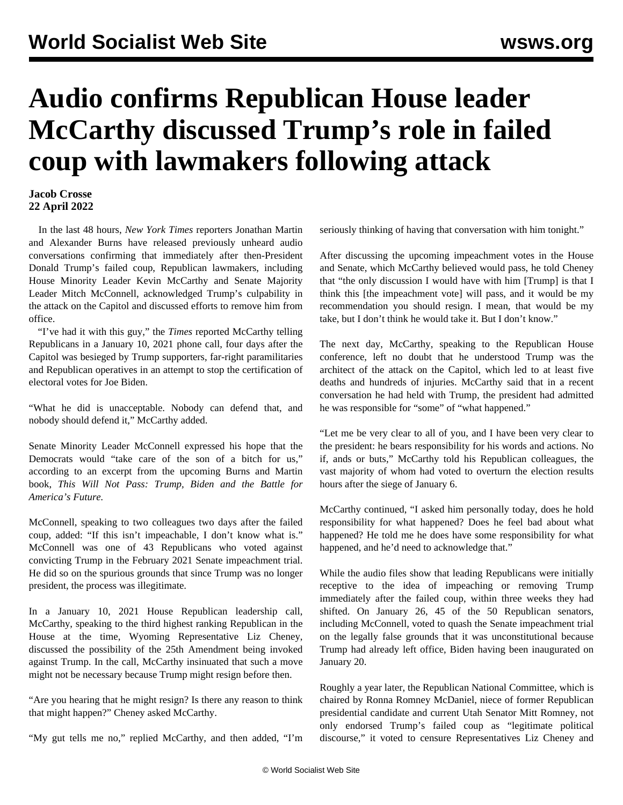## **Audio confirms Republican House leader McCarthy discussed Trump's role in failed coup with lawmakers following attack**

## **Jacob Crosse 22 April 2022**

 In the last 48 hours, *New York Times* reporters Jonathan Martin and Alexander Burns have released previously unheard audio conversations confirming that immediately after then-President Donald Trump's failed coup, Republican lawmakers, including House Minority Leader Kevin McCarthy and Senate Majority Leader Mitch McConnell, acknowledged Trump's culpability in the attack on the Capitol and discussed efforts to remove him from office.

 "I've had it with this guy," the *Times* reported McCarthy telling Republicans in a January 10, 2021 phone call, four days after the Capitol was besieged by Trump supporters, far-right paramilitaries and Republican operatives in an attempt to stop the certification of electoral votes for Joe Biden.

"What he did is unacceptable. Nobody can defend that, and nobody should defend it," McCarthy added.

Senate Minority Leader McConnell expressed his hope that the Democrats would "take care of the son of a bitch for us," according to an excerpt from the upcoming Burns and Martin book, *This Will Not Pass: Trump, Biden and the Battle for America's Future.*

McConnell, speaking to two colleagues two days after the failed coup, added: "If this isn't impeachable, I don't know what is." McConnell was one of 43 Republicans who voted against convicting Trump in the February 2021 Senate impeachment trial. He did so on the spurious grounds that since Trump was no longer president, the process was illegitimate.

In a January 10, 2021 House Republican leadership call, McCarthy, speaking to the third highest ranking Republican in the House at the time, Wyoming Representative Liz Cheney, discussed the possibility of the 25th Amendment being invoked against Trump. In the call, McCarthy insinuated that such a move might not be necessary because Trump might resign before then.

"Are you hearing that he might resign? Is there any reason to think that might happen?" Cheney asked McCarthy.

"My gut tells me no," replied McCarthy, and then added, "I'm

seriously thinking of having that conversation with him tonight."

After discussing the upcoming impeachment votes in the House and Senate, which McCarthy believed would pass, he told Cheney that "the only discussion I would have with him [Trump] is that I think this [the impeachment vote] will pass, and it would be my recommendation you should resign. I mean, that would be my take, but I don't think he would take it. But I don't know."

The next day, McCarthy, speaking to the Republican House conference, left no doubt that he understood Trump was the architect of the attack on the Capitol, which led to at least five deaths and hundreds of injuries. McCarthy said that in a recent conversation he had held with Trump, the president had admitted he was responsible for "some" of "what happened."

"Let me be very clear to all of you, and I have been very clear to the president: he bears responsibility for his words and actions. No if, ands or buts," McCarthy told his Republican colleagues, the vast majority of whom had voted to overturn the election results hours after the siege of January 6.

McCarthy continued, "I asked him personally today, does he hold responsibility for what happened? Does he feel bad about what happened? He told me he does have some responsibility for what happened, and he'd need to acknowledge that."

While the audio files show that leading Republicans were initially receptive to the idea of impeaching or removing Trump immediately after the failed coup, within three weeks they had shifted. On January 26, 45 of the 50 Republican senators, including McConnell, voted to quash the Senate impeachment trial on the legally false grounds that it was unconstitutional because Trump had already left office, Biden having been inaugurated on January 20.

Roughly a year later, the Republican National Committee, which is chaired by Ronna Romney McDaniel, niece of former Republican presidential candidate and current Utah Senator Mitt Romney, not only endorsed Trump's failed coup as ["legitimate political](/en/articles/2022/02/05/repu-f05.html) [discourse](/en/articles/2022/02/05/repu-f05.html)," it voted to censure Representatives Liz Cheney and